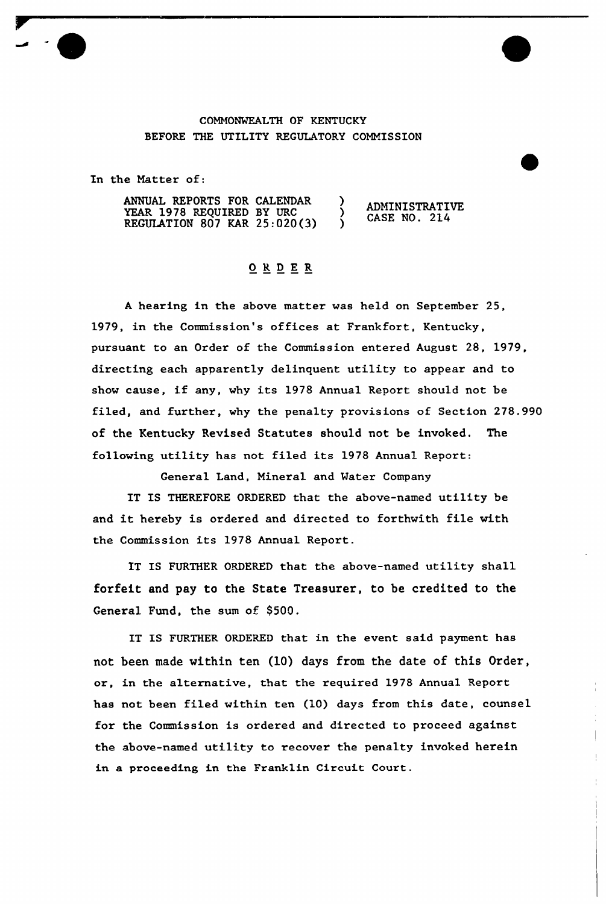## COMMONWEALTH OF KENTUCKY BEFORE THE UTILITY REGULATORY COMMISSION

In the Matter of:

ANNUAL REPORTS FOR CALENDAR  $\lambda$ ADMINISTRATIVE YEAR 1978 REQUIRED BY URC  $\lambda$ CASE NO. 214 REGULATION 807 KAR 25:020(3)  $\lambda$ 

## ORDER

<sup>A</sup> hearing in the above matter was held on September 25, 1979, in the Commission's offices at Frankfort, Kentucky, pursuant to an Order of the Commission entered August 28, 1979, directing each apparently delinquent utility to appear and to show cause, if any, why its <sup>1978</sup> Annual Report should not be filed, and further, why the penalty provisions of Section 278.990 of the Kentucky Revised Statutes should not be invoked. The following utility has not filed its 1978 Annual Report:

General Land, Mineral and Water Company

IT IS THEREFORE ORDERED that the above-named utility be and it hereby is ordered and directed to forthwith file with the Commission its 1978 Annual Report.

IT IS FURTHER ORDERED that the above-named utility shall forfeit and pay to the State Treasurer, to be credited to the General Fund, the sum of \$500.

IT IS FURTHER ORDERED that in the event said payment has not been made within ten (10) days from the date of this Order, or, in the alternative, that the required 1978 Annual Report has not been filed within ten (10) days from this date, counsel for the Commission is ordered and directed to proceed against the above-named utility to recover the penalty invoked herein in a proceeding in the Franklin Circuit Court.